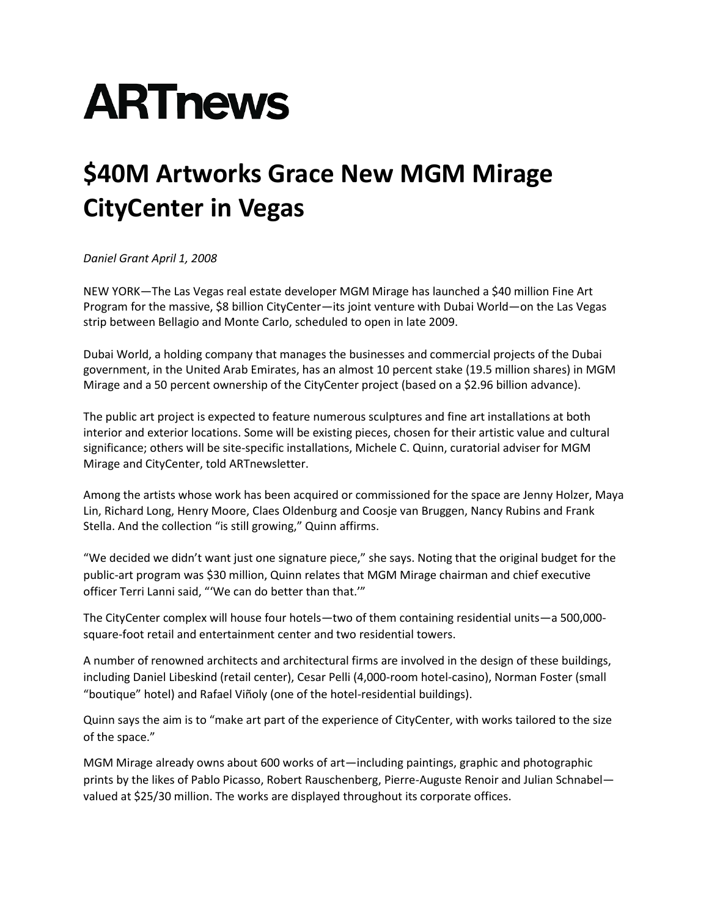## **ARTnews**

## **\$40M Artworks Grace New MGM Mirage CityCenter in Vegas**

*Daniel Grant April 1, 2008*

NEW YORK—The Las Vegas real estate developer MGM Mirage has launched a \$40 million Fine Art Program for the massive, \$8 billion CityCenter—its joint venture with Dubai World—on the Las Vegas strip between Bellagio and Monte Carlo, scheduled to open in late 2009.

Dubai World, a holding company that manages the businesses and commercial projects of the Dubai government, in the United Arab Emirates, has an almost 10 percent stake (19.5 million shares) in MGM Mirage and a 50 percent ownership of the CityCenter project (based on a \$2.96 billion advance).

The public art project is expected to feature numerous sculptures and fine art installations at both interior and exterior locations. Some will be existing pieces, chosen for their artistic value and cultural significance; others will be site-specific installations, Michele C. Quinn, curatorial adviser for MGM Mirage and CityCenter, told ARTnewsletter.

Among the artists whose work has been acquired or commissioned for the space are Jenny Holzer, Maya Lin, Richard Long, Henry Moore, Claes Oldenburg and Coosje van Bruggen, Nancy Rubins and Frank Stella. And the collection "is still growing," Quinn affirms.

"We decided we didn't want just one signature piece," she says. Noting that the original budget for the public-art program was \$30 million, Quinn relates that MGM Mirage chairman and chief executive officer Terri Lanni said, "'We can do better than that.'"

The CityCenter complex will house four hotels—two of them containing residential units—a 500,000 square-foot retail and entertainment center and two residential towers.

A number of renowned architects and architectural firms are involved in the design of these buildings, including Daniel Libeskind (retail center), Cesar Pelli (4,000-room hotel-casino), Norman Foster (small "boutique" hotel) and Rafael Viñoly (one of the hotel-residential buildings).

Quinn says the aim is to "make art part of the experience of CityCenter, with works tailored to the size of the space."

MGM Mirage already owns about 600 works of art—including paintings, graphic and photographic prints by the likes of Pablo Picasso, Robert Rauschenberg, Pierre-Auguste Renoir and Julian Schnabel valued at \$25/30 million. The works are displayed throughout its corporate offices.